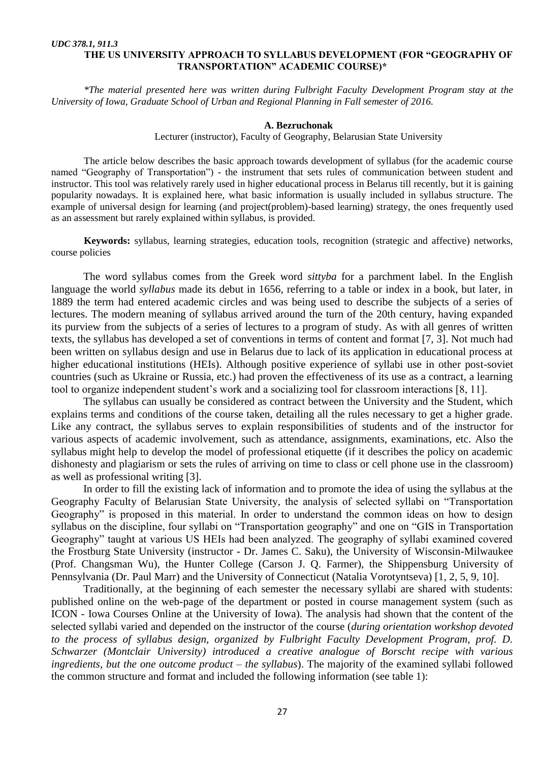## *UDC 378.1, 911.3* **THE US UNIVERSITY APPROACH TO SYLLABUS DEVELOPMENT (FOR "GEOGRAPHY OF TRANSPORTATION" ACADEMIC COURSE)\***

*\*The material presented here was written during Fulbright Faculty Development Program stay at the University of Iowa, Graduate School of Urban and Regional Planning in Fall semester of 2016.*

## **A. Bezruchonak**

Lecturer (instructor), Faculty of Geography, Belarusian State University

The article below describes the basic approach towards development of syllabus (for the academic course named "Geography of Transportation") - the instrument that sets rules of communication between student and instructor. This tool was relatively rarely used in higher educational process in Belarus till recently, but it is gaining popularity nowadays. It is explained here, what basic information is usually included in syllabus structure. The example of universal design for learning (and project(problem)-based learning) strategy, the ones frequently used as an assessment but rarely explained within syllabus, is provided.

**Keywords:** syllabus, learning strategies, education tools, recognition (strategic and affective) networks, course policies

The word syllabus comes from the Greek word *sittyba* for a parchment label. In the English language the world *syllabus* made its debut in 1656, referring to a table or index in a book, but later, in 1889 the term had entered academic circles and was being used to describe the subjects of a series of lectures. The modern meaning of syllabus arrived around the turn of the 20th century, having expanded its purview from the subjects of a series of lectures to a program of study. As with all genres of written texts, the syllabus has developed a set of conventions in terms of content and format [7, 3]. Not much had been written on syllabus design and use in Belarus due to lack of its application in educational process at higher educational institutions (HEIs). Although positive experience of syllabi use in other post-soviet countries (such as Ukraine or Russia, etc.) had proven the effectiveness of its use as a contract, a learning tool to organize independent student's work and a socializing tool for classroom interactions [8, 11].

The syllabus can usually be considered as contract between the University and the Student, which explains terms and conditions of the course taken, detailing all the rules necessary to get a higher grade. Like any contract, the syllabus serves to explain responsibilities of students and of the instructor for various aspects of academic involvement, such as attendance, assignments, examinations, etc. Also the syllabus might help to develop the model of professional etiquette (if it describes the policy on academic dishonesty and plagiarism or sets the rules of arriving on time to class or cell phone use in the classroom) as well as professional writing [3].

In order to fill the existing lack of information and to promote the idea of using the syllabus at the Geography Faculty of Belarusian State University, the analysis of selected syllabi on "Transportation" Geography" is proposed in this material. In order to understand the common ideas on how to design syllabus on the discipline, four syllabi on "Transportation geography" and one on "GIS in Transportation Geography" taught at various US HEIs had been analyzed. The geography of syllabi examined covered the Frostburg State University (instructor - Dr. James C. Saku), the University of Wisconsin-Milwaukee (Prof. Changsman Wu), the Hunter College (Carson J. Q. Farmer), the Shippensburg University of Pennsylvania (Dr. Paul Marr) and the University of Connecticut (Natalia Vorotyntseva) [1, 2, 5, 9, 10].

Traditionally, at the beginning of each semester the necessary syllabi are shared with students: published online on the web-page of the department or posted in course management system (such as ICON - Iowa Courses Online at the University of Iowa). The analysis had shown that the content of the selected syllabi varied and depended on the instructor of the course (*during orientation workshop devoted to the process of syllabus design, organized by Fulbright Faculty Development Program, prof. D. Schwarzer (Montclair University) introduced a creative analogue of Borscht recipe with various ingredients, but the one outcome product – the syllabus*). The majority of the examined syllabi followed the common structure and format and included the following information (see table 1):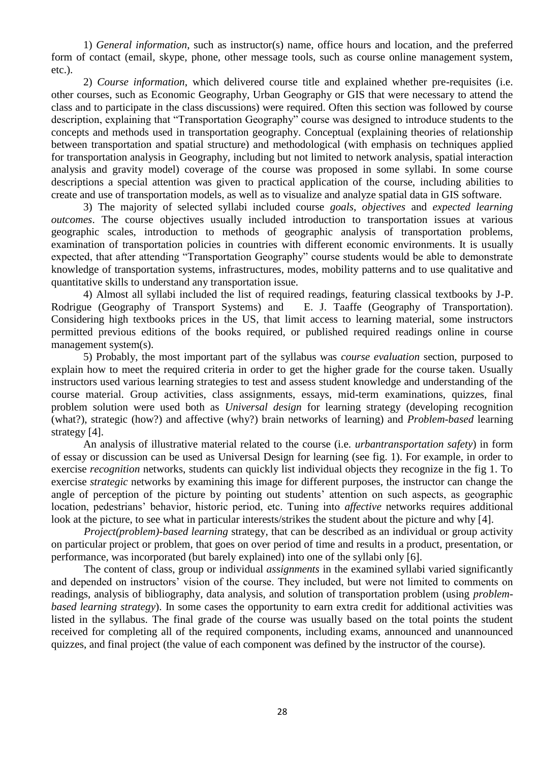1) *General information*, such as instructor(s) name, office hours and location, and the preferred form of contact (email, skype, phone, other message tools, such as course online management system, etc.).

2) *Course information*, which delivered course title and explained whether pre-requisites (i.e. other courses, such as Economic Geography, Urban Geography or GIS that were necessary to attend the class and to participate in the class discussions) were required. Often this section was followed by course description, explaining that "Transportation Geography" course was designed to introduce students to the concepts and methods used in transportation geography. Conceptual (explaining theories of relationship between transportation and spatial structure) and methodological (with emphasis on techniques applied for transportation analysis in Geography, including but not limited to network analysis, spatial interaction analysis and gravity model) coverage of the course was proposed in some syllabi. In some course descriptions a special attention was given to practical application of the course, including abilities to create and use of transportation models, as well as to visualize and analyze spatial data in GIS software.

3) The majority of selected syllabi included course *goals*, *objectives* and *expected learning outcomes*. The course objectives usually included introduction to transportation issues at various geographic scales, introduction to methods of geographic analysis of transportation problems, examination of transportation policies in countries with different economic environments. It is usually expected, that after attending "Transportation Geography" course students would be able to demonstrate knowledge of transportation systems, infrastructures, modes, mobility patterns and to use qualitative and quantitative skills to understand any transportation issue.

4) Almost all syllabi included the list of required readings, featuring classical textbooks by J-P. Rodrigue (Geography of Transport Systems) and E. J. Taaffe (Geography of Transportation). Considering high textbooks prices in the US, that limit access to learning material, some instructors permitted previous editions of the books required, or published required readings online in course management system(s).

5) Probably, the most important part of the syllabus was *course evaluation* section, purposed to explain how to meet the required criteria in order to get the higher grade for the course taken. Usually instructors used various learning strategies to test and assess student knowledge and understanding of the course material. Group activities, class assignments, essays, mid-term examinations, quizzes, final problem solution were used both as *Universal design* for learning strategy (developing recognition (what?), strategic (how?) and affective (why?) brain networks of learning) and *Problem-based* learning strategy [4].

An analysis of illustrative material related to the course (i.e. *urbantransportation safety*) in form of essay or discussion can be used as Universal Design for learning (see fig. 1). For example, in order to exercise *recognition* networks, students can quickly list individual objects they recognize in the fig 1. To exercise *strategic* networks by examining this image for different purposes, the instructor can change the angle of perception of the picture by pointing out students' attention on such aspects, as geographic location, pedestrians' behavior, historic period, etc. Tuning into *affective* networks requires additional look at the picture, to see what in particular interests/strikes the student about the picture and why [4].

*Project(problem)-based learning* strategy, that can be described as an individual or group activity on particular project or problem, that goes on over period of time and results in a product, presentation, or performance, was incorporated (but barely explained) into one of the syllabi only [6].

The content of class, group or individual *assignments* in the examined syllabi varied significantly and depended on instructors' vision of the course. They included, but were not limited to comments on readings, analysis of bibliography, data analysis, and solution of transportation problem (using *problembased learning strategy*). In some cases the opportunity to earn extra credit for additional activities was listed in the syllabus. The final grade of the course was usually based on the total points the student received for completing all of the required components, including exams, announced and unannounced quizzes, and final project (the value of each component was defined by the instructor of the course).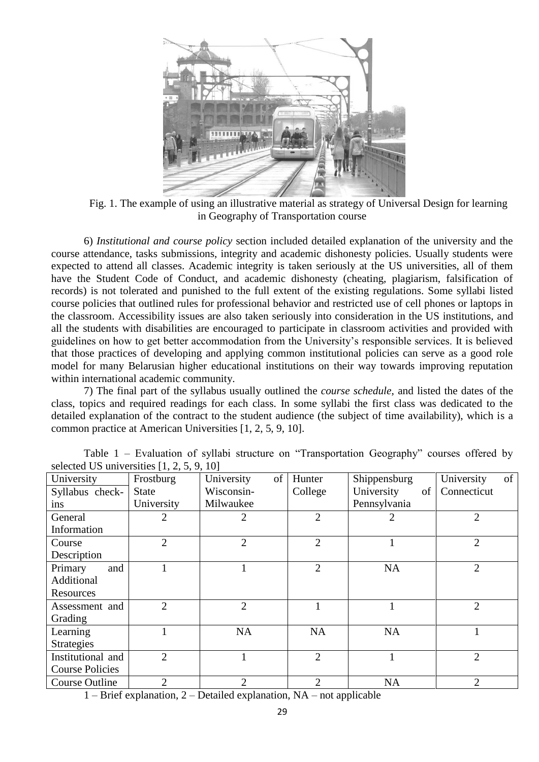

Fig. 1. The example of using an illustrative material as strategy of Universal Design for learning in Geography of Transportation course

6) *Institutional and course policy* section included detailed explanation of the university and the course attendance, tasks submissions, integrity and academic dishonesty policies. Usually students were expected to attend all classes. Academic integrity is taken seriously at the US universities, all of them have the Student Code of Conduct, and academic dishonesty (cheating, plagiarism, falsification of records) is not tolerated and punished to the full extent of the existing regulations. Some syllabi listed course policies that outlined rules for professional behavior and restricted use of cell phones or laptops in the classroom. Accessibility issues are also taken seriously into consideration in the US institutions, and all the students with disabilities are encouraged to participate in classroom activities and provided with guidelines on how to get better accommodation from the University's responsible services. It is believed that those practices of developing and applying common institutional policies can serve as a good role model for many Belarusian higher educational institutions on their way towards improving reputation within international academic community.

7) The final part of the syllabus usually outlined the *course schedule*, and listed the dates of the class, topics and required readings for each class. In some syllabi the first class was dedicated to the detailed explanation of the contract to the student audience (the subject of time availability), which is a common practice at American Universities [1, 2, 5, 9, 10].

| University             | Frostburg      | of<br>University | Hunter         | Shippensburg     | of<br>University |
|------------------------|----------------|------------------|----------------|------------------|------------------|
| Syllabus check-        | <b>State</b>   | Wisconsin-       | College        | University<br>of | Connecticut      |
| ins                    | University     | Milwaukee        |                | Pennsylvania     |                  |
| General                | 2              | 2                | $\overline{2}$ |                  | $\overline{2}$   |
| Information            |                |                  |                |                  |                  |
| Course                 | $\overline{2}$ | $\overline{2}$   | $\overline{2}$ |                  | $\overline{2}$   |
| Description            |                |                  |                |                  |                  |
| and<br>Primary         |                |                  | $\overline{2}$ | <b>NA</b>        | $\overline{2}$   |
| Additional             |                |                  |                |                  |                  |
| Resources              |                |                  |                |                  |                  |
| Assessment and         | $\overline{2}$ | $\overline{2}$   |                |                  | $\overline{2}$   |
| Grading                |                |                  |                |                  |                  |
| Learning               |                | <b>NA</b>        | <b>NA</b>      | <b>NA</b>        |                  |
| <b>Strategies</b>      |                |                  |                |                  |                  |
| Institutional and      | $\overline{2}$ |                  | $\overline{2}$ |                  | $\overline{2}$   |
| <b>Course Policies</b> |                |                  |                |                  |                  |
| Course Outline         | $\overline{2}$ | 2                | $\overline{2}$ | <b>NA</b>        | 2                |

Table  $1$  – Evaluation of syllabi structure on "Transportation Geography" courses offered by selected US universities [1, 2, 5, 9, 10]

1 – Brief explanation, 2 – Detailed explanation, NA – not applicable